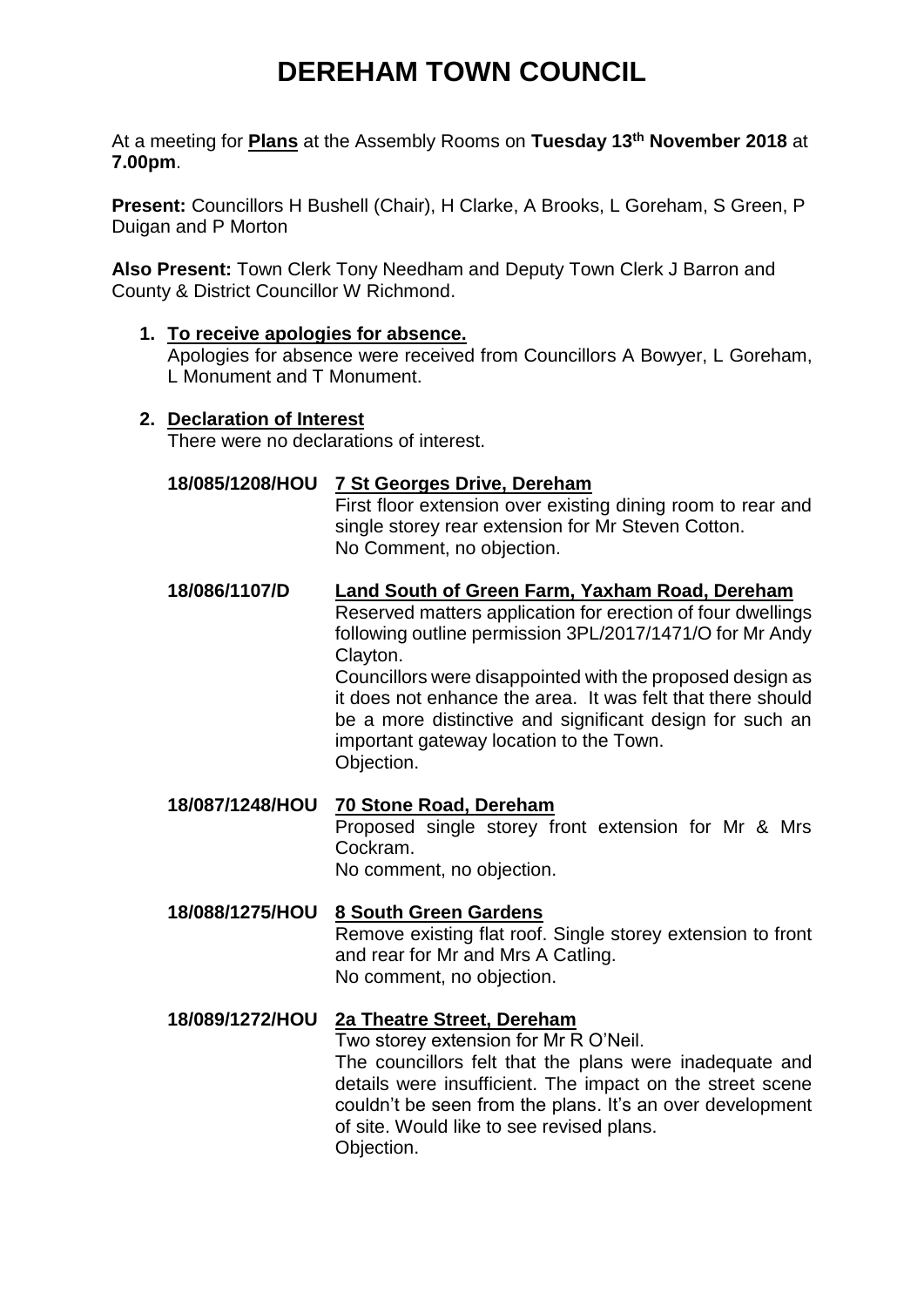# **DEREHAM TOWN COUNCIL**

At a meeting for **Plans** at the Assembly Rooms on **Tuesday 13 th November 2018** at **7.00pm**.

**Present:** Councillors H Bushell (Chair), H Clarke, A Brooks, L Goreham, S Green, P Duigan and P Morton

**Also Present:** Town Clerk Tony Needham and Deputy Town Clerk J Barron and County & District Councillor W Richmond.

### **1. To receive apologies for absence.**

Apologies for absence were received from Councillors A Bowyer, L Goreham, L Monument and T Monument.

#### **2. Declaration of Interest**

There were no declarations of interest.

### **18/085/1208/HOU 7 St Georges Drive, Dereham**

First floor extension over existing dining room to rear and single storey rear extension for Mr Steven Cotton. No Comment, no objection.

### **18/086/1107/D Land South of Green Farm, Yaxham Road, Dereham**

Reserved matters application for erection of four dwellings following outline permission 3PL/2017/1471/O for Mr Andy Clayton.

Councillors were disappointed with the proposed design as it does not enhance the area. It was felt that there should be a more distinctive and significant design for such an important gateway location to the Town. Objection.

**18/087/1248/HOU 70 Stone Road, Dereham** Proposed single storey front extension for Mr & Mrs Cockram. No comment, no objection.

### **18/088/1275/HOU 8 South Green Gardens** Remove existing flat roof. Single storey extension to front and rear for Mr and Mrs A Catling. No comment, no objection.

## **18/089/1272/HOU 2a Theatre Street, Dereham**

Two storey extension for Mr R O'Neil.

The councillors felt that the plans were inadequate and details were insufficient. The impact on the street scene couldn't be seen from the plans. It's an over development of site. Would like to see revised plans. Objection.